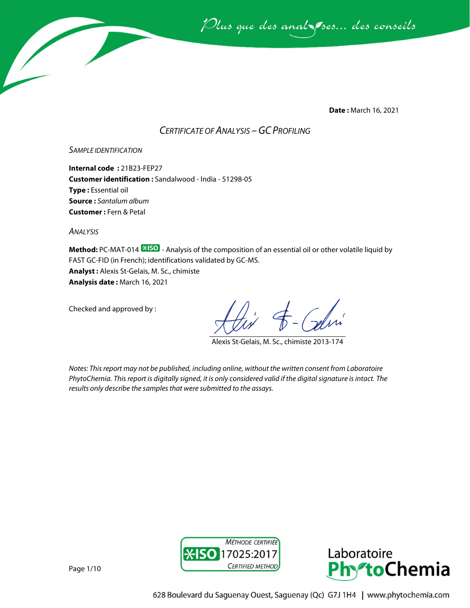

**Date :** March 16, 2021

### *CERTIFICATE OF ANALYSIS –GC PROFILING*

*SAMPLE IDENTIFICATION*

**Internal code :** 21B23-FEP27 **Customer identification :** Sandalwood - India - 51298-05 **Type :** Essential oil **Source :** *Santalum album* **Customer :** Fern & Petal

*ANALYSIS*

**Method:** PC-MAT-014  $\frac{1250}{12}$  - Analysis of the composition of an essential oil or other volatile liquid by FAST GC-FID (in French); identifications validated by GC-MS. **Analyst :** Alexis St-Gelais, M. Sc., chimiste **Analysis date :** March 16, 2021

Checked and approved by :

Alexis St-Gelais, M. Sc., chimiste 2013-174

*Notes: This report may not be published, including online, without the written consent from Laboratoire PhytoChemia. This report is digitally signed, it is only considered valid if the digital signature is intact. The results only describe the samples that were submitted to the assays.*





Page 1/10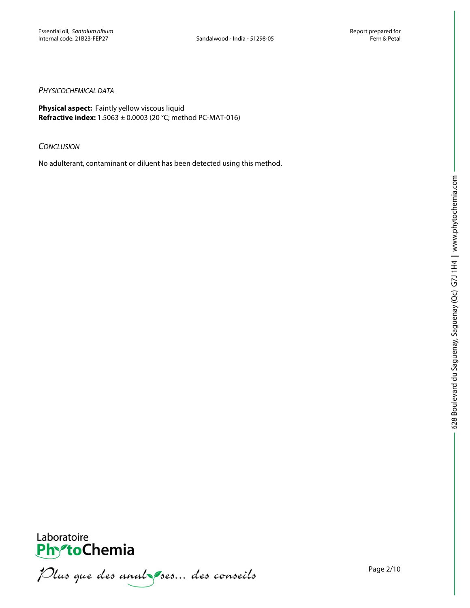### *PHYSICOCHEMICAL DATA*

**Physical aspect:** Faintly yellow viscous liquid **Refractive index:** 1.5063 ± 0.0003 (20 °C; method PC-MAT-016)

#### *CONCLUSION*

No adulterant, contaminant or diluent has been detected using this method.



**PhytoChemia**<br>*PhytoChemia*<br>*Plus que des analyses... des conseils*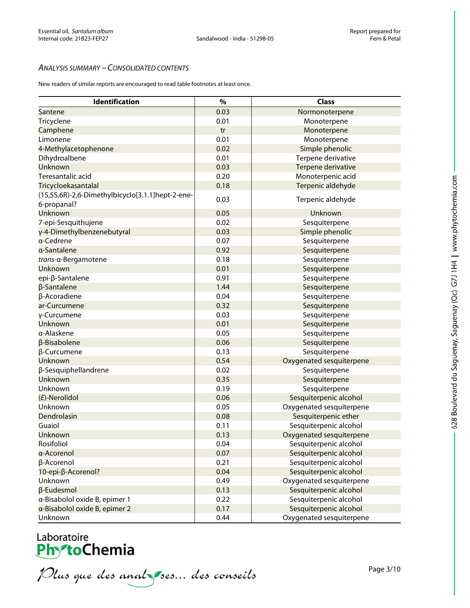### *ANALYSIS SUMMARY – CONSOLIDATED CONTENTS*

New readers of similar reports are encouraged to read table footnotes at least once.

| Identification                                   | $\frac{9}{6}$ | <b>Class</b>             |
|--------------------------------------------------|---------------|--------------------------|
| Santene                                          | 0.03          | Normonoterpene           |
| Tricyclene                                       | 0.01          | Monoterpene              |
| Camphene                                         | tr            | Monoterpene              |
| Limonene                                         | 0.01          | Monoterpene              |
| 4-Methylacetophenone                             | 0.02          | Simple phenolic          |
| Dihydroalbene                                    | 0.01          | Terpene derivative       |
| Unknown                                          | 0.03          | Terpene derivative       |
| Teresantalic acid                                | 0.20          | Monoterpenic acid        |
| Tricycloekasantalal                              | 0.18          | Terpenic aldehyde        |
| (1S,5S,6R)-2,6-Dimethylbicyclo[3.1.1]hept-2-ene- |               |                          |
| 6-propanal?                                      | 0.03          | Terpenic aldehyde        |
| Unknown                                          | 0.05          | Unknown                  |
| 7-epi-Sesquithujene                              | 0.02          | Sesquiterpene            |
| y-4-Dimethylbenzenebutyral                       | 0.03          | Simple phenolic          |
| a-Cedrene                                        | 0.07          | Sesquiterpene            |
| a-Santalene                                      | 0.92          | Sesquiterpene            |
| trans-α-Bergamotene                              | 0.18          | Sesquiterpene            |
| Unknown                                          | 0.01          | Sesquiterpene            |
| epi-β-Santalene                                  | 0.91          | Sesquiterpene            |
| β-Santalene                                      | 1.44          | Sesquiterpene            |
| β-Acoradiene                                     | 0.04          | Sesquiterpene            |
| ar-Curcumene                                     | 0.32          | Sesquiterpene            |
| γ-Curcumene                                      | 0.03          | Sesquiterpene            |
| Unknown                                          | 0.01          | Sesquiterpene            |
| α-Alaskene                                       | 0.05          | Sesquiterpene            |
| β-Bisabolene                                     | 0.06          | Sesquiterpene            |
| β-Curcumene                                      | 0.13          | Sesquiterpene            |
| Unknown                                          | 0.54          | Oxygenated sesquiterpene |
| β-Sesquiphellandrene                             | 0.02          | Sesquiterpene            |
| Unknown                                          | 0.35          | Sesquiterpene            |
| Unknown                                          | 0.19          | Sesquiterpene            |
| (E)-Nerolidol                                    | 0.06          | Sesquiterpenic alcohol   |
| Unknown                                          | 0.05          | Oxygenated sesquiterpene |
| Dendrolasin                                      | 0.08          | Sesquiterpenic ether     |
| Guaiol                                           | 0.11          | Sesquiterpenic alcohol   |
| Unknown                                          | 0.13          | Oxygenated sesquiterpene |
| Rosifoliol                                       | 0.04          | Sesquiterpenic alcohol   |
| a-Acorenol                                       | 0.07          | Sesquiterpenic alcohol   |
| β-Acorenol                                       | 0.21          | Sesquiterpenic alcohol   |
| 10-epi-β-Acorenol?                               | 0.04          | Sesquiterpenic alcohol   |
| Unknown                                          | 0.49          | Oxygenated sesquiterpene |
| β-Eudesmol                                       | 0.13          | Sesquiterpenic alcohol   |
| a-Bisabolol oxide B, epimer 1                    | 0.22          | Sesquiterpenic alcohol   |
| a-Bisabolol oxide B, epimer 2                    | 0.17          | Sesquiterpenic alcohol   |
| Unknown                                          | 0.44          | Oxygenated sesquiterpene |

# Laboratoire<br>**Phy<sup>s</sup>toChemia**

Plus que des analzes... des conseils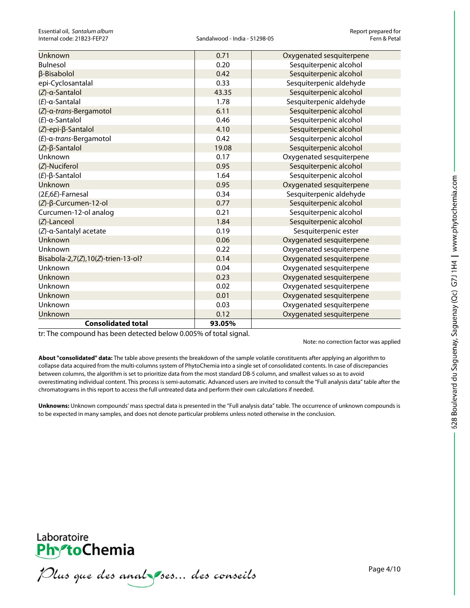| <b>Unknown</b>                     | 0.71   | Oxygenated sesquiterpene |
|------------------------------------|--------|--------------------------|
| <b>Bulnesol</b>                    | 0.20   | Sesquiterpenic alcohol   |
| <b>β-Bisabolol</b>                 | 0.42   | Sesquiterpenic alcohol   |
| epi-Cyclosantalal                  | 0.33   | Sesquiterpenic aldehyde  |
| (Z)-a-Santalol                     | 43.35  | Sesquiterpenic alcohol   |
| $(E)$ -a-Santalal                  | 1.78   | Sesquiterpenic aldehyde  |
| (Z)-a-trans-Bergamotol             | 6.11   | Sesquiterpenic alcohol   |
| $(E)$ -a-Santalol                  | 0.46   | Sesquiterpenic alcohol   |
| (Z)-epi-β-Santalol                 | 4.10   | Sesquiterpenic alcohol   |
| (E)-a-trans-Bergamotol             | 0.42   | Sesquiterpenic alcohol   |
| $(Z)$ - $\beta$ -Santalol          | 19.08  | Sesquiterpenic alcohol   |
| Unknown                            | 0.17   | Oxygenated sesquiterpene |
| (Z)-Nuciferol                      | 0.95   | Sesquiterpenic alcohol   |
| $(E)$ - $\beta$ -Santalol          | 1.64   | Sesquiterpenic alcohol   |
| Unknown                            | 0.95   | Oxygenated sesquiterpene |
| (2E,6E)-Farnesal                   | 0.34   | Sesquiterpenic aldehyde  |
| (Z)-β-Curcumen-12-ol               | 0.77   | Sesquiterpenic alcohol   |
| Curcumen-12-ol analog              | 0.21   | Sesquiterpenic alcohol   |
| (Z)-Lanceol                        | 1.84   | Sesquiterpenic alcohol   |
| (Z)-α-Santalyl acetate             | 0.19   | Sesquiterpenic ester     |
| Unknown                            | 0.06   | Oxygenated sesquiterpene |
| Unknown                            | 0.22   | Oxygenated sesquiterpene |
| Bisabola-2,7(Z),10(Z)-trien-13-ol? | 0.14   | Oxygenated sesquiterpene |
| Unknown                            | 0.04   | Oxygenated sesquiterpene |
| Unknown                            | 0.23   | Oxygenated sesquiterpene |
| Unknown                            | 0.02   | Oxygenated sesquiterpene |
| Unknown                            | 0.01   | Oxygenated sesquiterpene |
| Unknown                            | 0.03   | Oxygenated sesquiterpene |
| Unknown                            | 0.12   | Oxygenated sesquiterpene |
| <b>Consolidated total</b>          | 93.05% |                          |

tr: The compound has been detected below 0.005% of total signal.

Note: no correction factor was applied

**About "consolidated" data:** The table above presents the breakdown of the sample volatile constituents after applying an algorithm to collapse data acquired from the multi-columns system of PhytoChemia into a single set of consolidated contents. In case of discrepancies between columns, the algorithm is set to prioritize data from the most standard DB-5 column, and smallest values so as to avoid overestimating individual content. This process is semi-automatic. Advanced users are invited to consult the "Full analysis data" table after the chromatograms in this report to access the full untreated data and perform their own calculations if needed.

**Unknowns:** Unknown compounds' mass spectral data is presented in the "Full analysis data" table. The occurrence of unknown compounds is to be expected in many samples, and does not denote particular problems unless noted otherwise in the conclusion.



Plus que des analzes... des conseils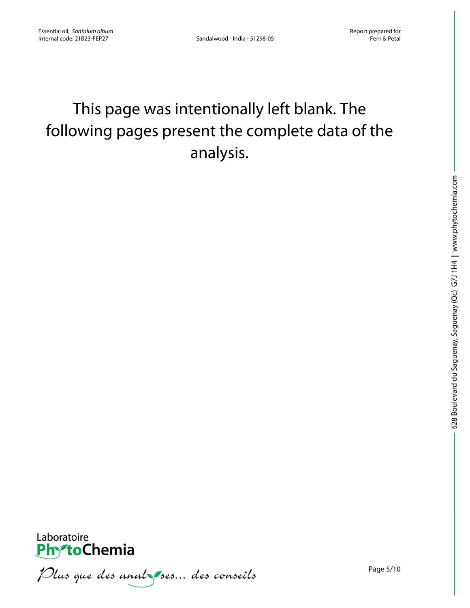### This page was intentionally left blank. The following pages present the complete data of the analysis.



Plus que des analzes... des conseils

Page 5/10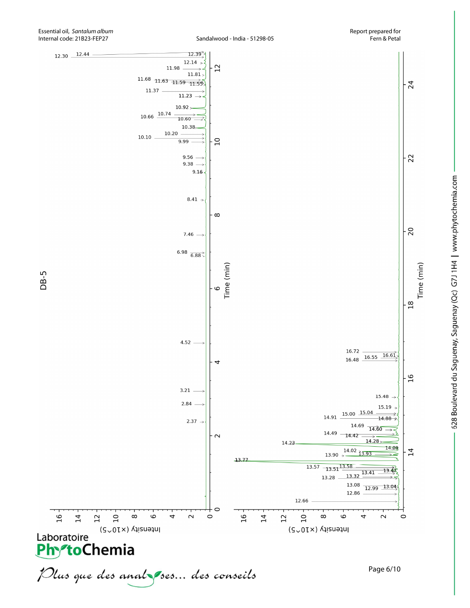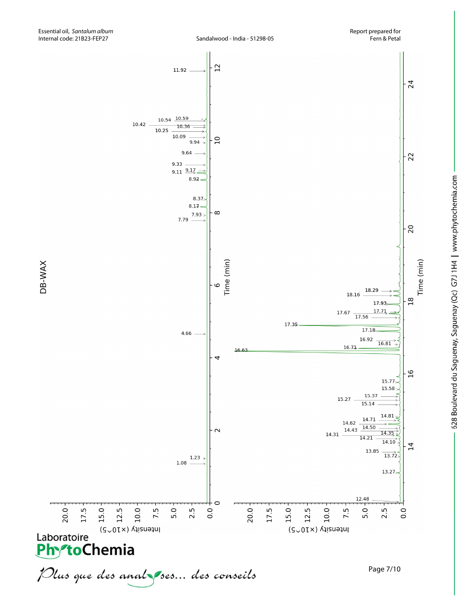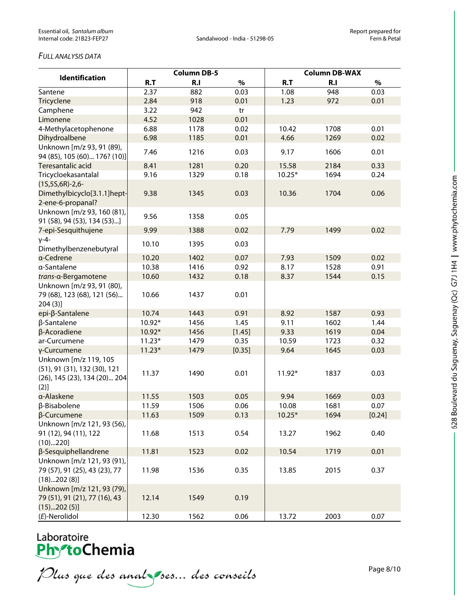### *FULL ANALYSIS DATA*

| <b>Identification</b>                                                                         | <b>Column DB-5</b> |      |        | <b>Column DB-WAX</b> |      |        |  |
|-----------------------------------------------------------------------------------------------|--------------------|------|--------|----------------------|------|--------|--|
|                                                                                               | R.T                | R.I  | $\%$   | R.T                  | R.I  | $\%$   |  |
| Santene                                                                                       | 2.37               | 882  | 0.03   | 1.08                 | 948  | 0.03   |  |
| Tricyclene                                                                                    | 2.84               | 918  | 0.01   | 1.23                 | 972  | 0.01   |  |
| Camphene                                                                                      | 3.22               | 942  | tr     |                      |      |        |  |
| Limonene                                                                                      | 4.52               | 1028 | 0.01   |                      |      |        |  |
| 4-Methylacetophenone                                                                          | 6.88               | 1178 | 0.02   | 10.42                | 1708 | 0.01   |  |
| Dihydroalbene                                                                                 | 6.98               | 1185 | 0.01   | 4.66                 | 1269 | 0.02   |  |
| Unknown [m/z 93, 91 (89),<br>94 (85), 105 (60) 176? (10)]                                     | 7.46               | 1216 | 0.03   | 9.17                 | 1606 | 0.01   |  |
| Teresantalic acid                                                                             | 8.41               | 1281 | 0.20   | 15.58                | 2184 | 0.33   |  |
| Tricycloekasantalal                                                                           | 9.16               | 1329 | 0.18   | $10.25*$             | 1694 | 0.24   |  |
| $(15,55,6R)-2,6-$<br>Dimethylbicyclo[3.1.1]hept-                                              | 9.38               | 1345 | 0.03   | 10.36                | 1704 | 0.06   |  |
| 2-ene-6-propanal?                                                                             |                    |      |        |                      |      |        |  |
| Unknown [m/z 93, 160 (81),<br>91 (58), 94 (53), 134 (53)]                                     | 9.56               | 1358 | 0.05   |                      |      |        |  |
| 7-epi-Sesquithujene                                                                           | 9.99               | 1388 | 0.02   | 7.79                 | 1499 | 0.02   |  |
| $V-4-$<br>Dimethylbenzenebutyral                                                              | 10.10              | 1395 | 0.03   |                      |      |        |  |
| a-Cedrene                                                                                     | 10.20              | 1402 | 0.07   | 7.93                 | 1509 | 0.02   |  |
| a-Santalene                                                                                   | 10.38              | 1416 | 0.92   | 8.17                 | 1528 | 0.91   |  |
| trans-a-Bergamotene                                                                           | 10.60              | 1432 | 0.18   | 8.37                 | 1544 | 0.15   |  |
| Unknown [m/z 93, 91 (80),<br>79 (68), 123 (68), 121 (56)<br>204(3)                            | 10.66              | 1437 | 0.01   |                      |      |        |  |
| epi-β-Santalene                                                                               | 10.74              | 1443 | 0.91   | 8.92                 | 1587 | 0.93   |  |
| β-Santalene                                                                                   | 10.92*             | 1456 | 1.45   | 9.11                 | 1602 | 1.44   |  |
| β-Acoradiene                                                                                  | 10.92*             | 1456 | [1.45] | 9.33                 | 1619 | 0.04   |  |
| ar-Curcumene                                                                                  | $11.23*$           | 1479 | 0.35   | 10.59                | 1723 | 0.32   |  |
| γ-Curcumene                                                                                   | $11.23*$           | 1479 | [0.35] | 9.64                 | 1645 | 0.03   |  |
| Unknown [m/z 119, 105<br>(51), 91 (31), 132 (30), 121<br>(26), 145 (23), 134 (20) 204<br>(2)] | 11.37              | 1490 | 0.01   | 11.92*               | 1837 | 0.03   |  |
| α-Alaskene                                                                                    | 11.55              | 1503 | 0.05   | 9.94                 | 1669 | 0.03   |  |
| β-Bisabolene                                                                                  | 11.59              | 1506 | 0.06   | 10.08                | 1681 | 0.07   |  |
| β-Curcumene                                                                                   | 11.63              | 1509 | 0.13   | $10.25*$             | 1694 | [0.24] |  |
| Unknown [m/z 121, 93 (56),                                                                    |                    |      |        |                      |      |        |  |
| 91 (12), 94 (11), 122<br>(10)220]                                                             | 11.68              | 1513 | 0.54   | 13.27                | 1962 | 0.40   |  |
| β-Sesquiphellandrene                                                                          | 11.81              | 1523 | 0.02   | 10.54                | 1719 | 0.01   |  |
| Unknown [m/z 121, 93 (91),                                                                    |                    |      |        |                      |      |        |  |
| 79 (57), 91 (25), 43 (23), 77<br>(18)202(8)]                                                  | 11.98              | 1536 | 0.35   | 13.85                | 2015 | 0.37   |  |
| Unknown [m/z 121, 93 (79),<br>79 (51), 91 (21), 77 (16), 43<br>(15)202(5)]                    | 12.14              | 1549 | 0.19   |                      |      |        |  |
| (E)-Nerolidol                                                                                 | 12.30              | 1562 | 0.06   | 13.72                | 2003 | 0.07   |  |

### Laboratoire<br>**Phy<sup>o</sup>toChemia**

Plus que des analzes... des conseils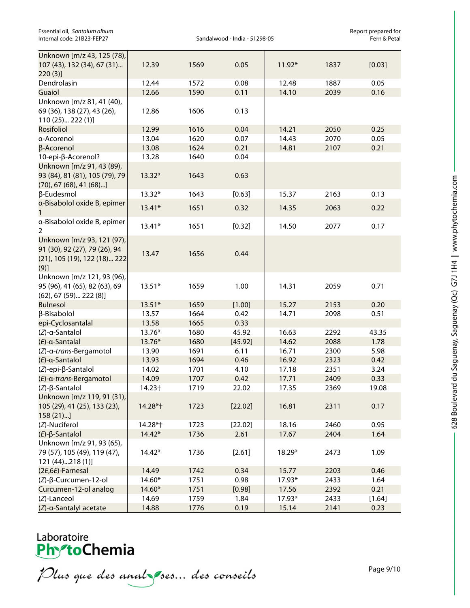| Essential oil, Santalum album |  |  |  |  |  |  |
|-------------------------------|--|--|--|--|--|--|
| Internal code: 21B23-FEP27    |  |  |  |  |  |  |

Report prepared for<br>Fern & Petal

| Unknown [m/z 43, 125 (78),       |          |      |         |          |      |        |
|----------------------------------|----------|------|---------|----------|------|--------|
| 107 (43), 132 (34), 67 (31)      | 12.39    | 1569 | 0.05    | $11.92*$ | 1837 | [0.03] |
| 220(3)                           |          |      |         |          |      |        |
| Dendrolasin                      | 12.44    | 1572 | 0.08    | 12.48    | 1887 | 0.05   |
| Guaiol                           | 12.66    | 1590 | 0.11    | 14.10    | 2039 | 0.16   |
| Unknown [m/z 81, 41 (40),        |          |      |         |          |      |        |
| 69 (36), 138 (27), 43 (26),      | 12.86    | 1606 | 0.13    |          |      |        |
| 110 (25) 222 (1)]                |          |      |         |          |      |        |
| Rosifoliol                       | 12.99    | 1616 | 0.04    | 14.21    | 2050 | 0.25   |
| a-Acorenol                       | 13.04    | 1620 | 0.07    | 14.43    | 2070 | 0.05   |
| β-Acorenol                       | 13.08    | 1624 | 0.21    | 14.81    | 2107 | 0.21   |
| 10-epi-β-Acorenol?               | 13.28    | 1640 | 0.04    |          |      |        |
| Unknown [m/z 91, 43 (89),        |          |      |         |          |      |        |
| 93 (84), 81 (81), 105 (79), 79   | $13.32*$ | 1643 | 0.63    |          |      |        |
| $(70)$ , 67 $(68)$ , 41 $(68)$ ] |          |      |         |          |      |        |
| β-Eudesmol                       | 13.32*   | 1643 | [0.63]  | 15.37    | 2163 | 0.13   |
| a-Bisabolol oxide B, epimer      | $13.41*$ | 1651 | 0.32    | 14.35    | 2063 | 0.22   |
| $\mathbf{1}$                     |          |      |         |          |      |        |
| a-Bisabolol oxide B, epimer      | $13.41*$ | 1651 | [0.32]  | 14.50    | 2077 | 0.17   |
| $\overline{2}$                   |          |      |         |          |      |        |
| Unknown [m/z 93, 121 (97),       |          |      |         |          |      |        |
| 91 (30), 92 (27), 79 (26), 94    | 13.47    | 1656 | 0.44    |          |      |        |
| (21), 105 (19), 122 (18) 222     |          |      |         |          |      |        |
| (9)]                             |          |      |         |          |      |        |
| Unknown [m/z 121, 93 (96),       |          |      |         |          |      |        |
| 95 (96), 41 (65), 82 (63), 69    | $13.51*$ | 1659 | 1.00    | 14.31    | 2059 | 0.71   |
| $(62)$ , 67 $(59)$ 222 $(8)$ ]   |          |      |         |          |      |        |
| <b>Bulnesol</b>                  | $13.51*$ | 1659 | [1.00]  | 15.27    | 2153 | 0.20   |
| β-Bisabolol                      | 13.57    | 1664 | 0.42    | 14.71    | 2098 | 0.51   |
| epi-Cyclosantalal                | 13.58    | 1665 | 0.33    |          |      |        |
| (Z)-a-Santalol                   | 13.76*   | 1680 | 45.92   | 16.63    | 2292 | 43.35  |
| $(E)$ -a-Santalal                | 13.76*   | 1680 | [45.92] | 14.62    | 2088 | 1.78   |
| (Z)-a-trans-Bergamotol           | 13.90    | 1691 | 6.11    | 16.71    | 2300 | 5.98   |
| $(E)$ -a-Santalol                | 13.93    | 1694 | 0.46    | 16.92    | 2323 | 0.42   |
| (Z)-epi-β-Santalol               | 14.02    | 1701 | 4.10    | 17.18    | 2351 | 3.24   |
| (E)-a-trans-Bergamotol           | 14.09    | 1707 | 0.42    | 17.71    | 2409 | 0.33   |
| $(Z)$ - $\beta$ -Santalol        | 14.23†   | 1719 | 22.02   | 17.35    | 2369 | 19.08  |
| Unknown [m/z 119, 91 (31),       |          |      |         |          |      |        |
| 105 (29), 41 (25), 133 (23),     | 14.28*†  | 1723 | [22.02] | 16.81    | 2311 | 0.17   |
| 158(21)                          |          |      |         |          |      |        |
| (Z)-Nuciferol                    | 14.28*†  | 1723 | [22.02] | 18.16    | 2460 | 0.95   |
| $(E)$ - $\beta$ -Santalol        | $14.42*$ | 1736 | 2.61    | 17.67    | 2404 | 1.64   |
| Unknown [m/z 91, 93 (65),        |          |      |         |          |      |        |
| 79 (57), 105 (49), 119 (47),     | $14.42*$ | 1736 | [2.61]  | 18.29*   | 2473 | 1.09   |
| 121 (44)218 (1)]                 |          |      |         |          |      |        |
| (2E,6E)-Farnesal                 | 14.49    | 1742 | 0.34    | 15.77    | 2203 | 0.46   |
| (Z)-β-Curcumen-12-ol             | $14.60*$ | 1751 | 0.98    | 17.93*   | 2433 | 1.64   |
| Curcumen-12-ol analog            | $14.60*$ | 1751 | [0.98]  | 17.56    | 2392 | 0.21   |
| (Z)-Lanceol                      | 14.69    | 1759 | 1.84    | 17.93*   | 2433 | [1.64] |
| (Z)-α-Santalyl acetate           | 14.88    | 1776 | 0.19    | 15.14    | 2141 | 0.23   |

## Laboratoire<br>**Phy<sup>s</sup>toChemia**

Plus que des analzes... des conseils

Page 9/10